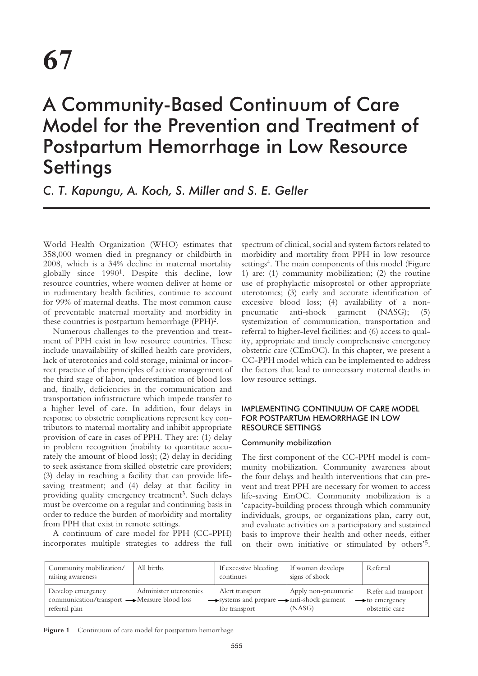# A Community-Based Continuum of Care Model for the Prevention and Treatment of Postpartum Hemorrhage in Low Resource **Settings**

*C. T. Kapungu, A. Koch, S. Miller and S. E. Geller*

World Health Organization (WHO) estimates that 358,000 women died in pregnancy or childbirth in 2008, which is a 34% decline in maternal mortality globally since 19901. Despite this decline, low resource countries, where women deliver at home or in rudimentary health facilities, continue to account for 99% of maternal deaths. The most common cause of preventable maternal mortality and morbidity in these countries is postpartum hemorrhage (PPH)2.

Numerous challenges to the prevention and treatment of PPH exist in low resource countries. These include unavailability of skilled health care providers, lack of uterotonics and cold storage, minimal or incorrect practice of the principles of active management of the third stage of labor, underestimation of blood loss and, finally, deficiencies in the communication and transportation infrastructure which impede transfer to a higher level of care. In addition, four delays in response to obstetric complications represent key contributors to maternal mortality and inhibit appropriate provision of care in cases of PPH. They are: (1) delay in problem recognition (inability to quantitate accurately the amount of blood loss); (2) delay in deciding to seek assistance from skilled obstetric care providers; (3) delay in reaching a facility that can provide lifesaving treatment; and (4) delay at that facility in providing quality emergency treatment<sup>3</sup>. Such delays must be overcome on a regular and continuing basis in order to reduce the burden of morbidity and mortality from PPH that exist in remote settings.

A continuum of care model for PPH (CC-PPH) incorporates multiple strategies to address the full spectrum of clinical, social and system factors related to morbidity and mortality from PPH in low resource settings<sup>4</sup>. The main components of this model (Figure 1) are: (1) community mobilization; (2) the routine use of prophylactic misoprostol or other appropriate uterotonics; (3) early and accurate identification of excessive blood loss; (4) availability of a nonpneumatic anti-shock garment (NASG); (5) systemization of communication, transportation and referral to higher-level facilities; and (6) access to quality, appropriate and timely comprehensive emergency obstetric care (CEmOC). In this chapter, we present a CC-PPH model which can be implemented to address the factors that lead to unnecessary maternal deaths in low resource settings.

# IMPLEMENTING CONTINUUM OF CARE MODEL FOR POSTPARTUM HEMORRHAGE IN LOW RESOURCE SETTINGS

## Community mobilization

The first component of the CC-PPH model is community mobilization. Community awareness about the four delays and health interventions that can prevent and treat PPH are necessary for women to access life-saving EmOC. Community mobilization is a 'capacity-building process through which community individuals, groups, or organizations plan, carry out, and evaluate activities on a participatory and sustained basis to improve their health and other needs, either on their own initiative or stimulated by others'5.

| Community mobilization/<br>raising awareness                                       | All births             | If excessive bleeding<br>continues                                             | If woman develops<br>signs of shock | Referral                                                            |
|------------------------------------------------------------------------------------|------------------------|--------------------------------------------------------------------------------|-------------------------------------|---------------------------------------------------------------------|
| Develop emergency<br>communication/transport — Measure blood loss<br>referral plan | Administer uterotonics | Alert transport<br>→ systems and prepare → anti-shock garment<br>for transport | Apply non-pneumatic<br>(NASG)       | Refer and transport<br>$\rightarrow$ to emergency<br>obstetric care |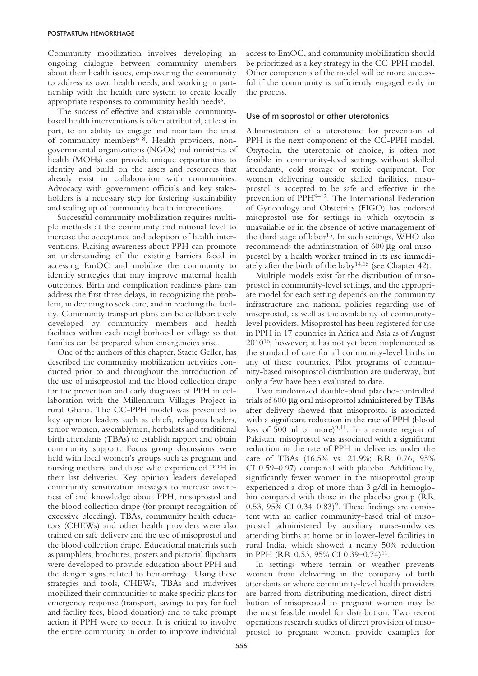Community mobilization involves developing an ongoing dialogue between community members about their health issues, empowering the community to address its own health needs, and working in partnership with the health care system to create locally appropriate responses to community health needs<sup>5</sup>.

The success of effective and sustainable communitybased health interventions is often attributed, at least in part, to an ability to engage and maintain the trust of community members<sup>6–8</sup>. Health providers, nongovernmental organizations (NGOs) and ministries of health (MOHs) can provide unique opportunities to identify and build on the assets and resources that already exist in collaboration with communities. Advocacy with government officials and key stakeholders is a necessary step for fostering sustainability and scaling up of community health interventions.

Successful community mobilization requires multiple methods at the community and national level to increase the acceptance and adoption of health interventions. Raising awareness about PPH can promote an understanding of the existing barriers faced in accessing EmOC and mobilize the community to identify strategies that may improve maternal health outcomes. Birth and complication readiness plans can address the first three delays, in recognizing the problem, in deciding to seek care, and in reaching the facility. Community transport plans can be collaboratively developed by community members and health facilities within each neighborhood or village so that families can be prepared when emergencies arise.

One of the authors of this chapter, Stacie Geller, has described the community mobilization activities conducted prior to and throughout the introduction of the use of misoprostol and the blood collection drape for the prevention and early diagnosis of PPH in collaboration with the Millennium Villages Project in rural Ghana. The CC-PPH model was presented to key opinion leaders such as chiefs, religious leaders, senior women, assemblymen, herbalists and traditional birth attendants (TBAs) to establish rapport and obtain community support. Focus group discussions were held with local women's groups such as pregnant and nursing mothers, and those who experienced PPH in their last deliveries. Key opinion leaders developed community sensitization messages to increase awareness of and knowledge about PPH, misoprostol and the blood collection drape (for prompt recognition of excessive bleeding). TBAs, community health educators (CHEWs) and other health providers were also trained on safe delivery and the use of misoprostol and the blood collection drape. Educational materials such as pamphlets, brochures, posters and pictorial flipcharts were developed to provide education about PPH and the danger signs related to hemorrhage. Using these strategies and tools, CHEWs, TBAs and midwives mobilized their communities to make specific plans for emergency response (transport, savings to pay for fuel and facility fees, blood donation) and to take prompt action if PPH were to occur. It is critical to involve the entire community in order to improve individual access to EmOC, and community mobilization should be prioritized as a key strategy in the CC-PPH model. Other components of the model will be more successful if the community is sufficiently engaged early in the process.

#### Use of misoprostol or other uterotonics

Administration of a uterotonic for prevention of PPH is the next component of the CC-PPH model. Oxytocin, the uterotonic of choice, is often not feasible in community-level settings without skilled attendants, cold storage or sterile equipment. For women delivering outside skilled facilities, misoprostol is accepted to be safe and effective in the prevention of PPH<sup>9-12</sup>. The International Federation of Gynecology and Obstetrics (FIGO) has endorsed misoprostol use for settings in which oxytocin is unavailable or in the absence of active management of the third stage of labor<sup>13</sup>. In such settings, WHO also recommends the administration of 600 µg oral misoprostol by a health worker trained in its use immediately after the birth of the baby14,15 (see Chapter 42).

Multiple models exist for the distribution of misoprostol in community-level settings, and the appropriate model for each setting depends on the community infrastructure and national policies regarding use of misoprostol, as well as the availability of communitylevel providers. Misoprostol has been registered for use in PPH in 17 countries in Africa and Asia as of August 201016; however; it has not yet been implemented as the standard of care for all community-level births in any of these countries. Pilot programs of community-based misoprostol distribution are underway, but only a few have been evaluated to date.

Two randomized double-blind placebo-controlled trials of 600 µg oral misoprostol administered by TBAs after delivery showed that misoprostol is associated with a significant reduction in the rate of PPH (blood loss of 500 ml or more)<sup>9,11</sup>. In a remote region of Pakistan, misoprostol was associated with a significant reduction in the rate of PPH in deliveries under the care of TBAs (16.5% vs. 21.9%; RR 0.76, 95% CI 0.59–0.97) compared with placebo. Additionally, significantly fewer women in the misoprostol group experienced a drop of more than 3 g/dl in hemoglobin compared with those in the placebo group (RR 0.53, 95% CI  $0.34-0.83$ <sup>9</sup>. These findings are consistent with an earlier community-based trial of misoprostol administered by auxiliary nurse-midwives attending births at home or in lower-level facilities in rural India, which showed a nearly 50% reduction in PPH (RR 0.53, 95% CI 0.39–0.74)<sup>11</sup>.

In settings where terrain or weather prevents women from delivering in the company of birth attendants or where community-level health providers are barred from distributing medication, direct distribution of misoprostol to pregnant women may be the most feasible model for distribution. Two recent operations research studies of direct provision of misoprostol to pregnant women provide examples for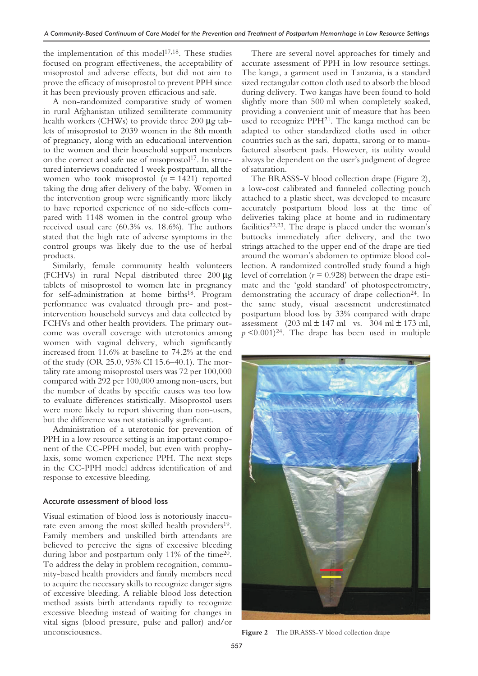the implementation of this model<sup>17,18</sup>. These studies focused on program effectiveness, the acceptability of misoprostol and adverse effects, but did not aim to prove the efficacy of misoprostol to prevent PPH since it has been previously proven efficacious and safe.

A non-randomized comparative study of women in rural Afghanistan utilized semiliterate community health workers (CHWs) to provide three 200  $\mu$ g tablets of misoprostol to 2039 women in the 8th month of pregnancy, along with an educational intervention to the women and their household support members on the correct and safe use of misoprostol<sup>17</sup>. In structured interviews conducted 1 week postpartum, all the women who took misoprostol (*n* = 1421) reported taking the drug after delivery of the baby. Women in the intervention group were significantly more likely to have reported experience of no side-effects compared with 1148 women in the control group who received usual care (60.3% vs. 18.6%). The authors stated that the high rate of adverse symptoms in the control groups was likely due to the use of herbal products.

Similarly, female community health volunteers (FCHVs) in rural Nepal distributed three 200 µg tablets of misoprostol to women late in pregnancy for self-administration at home births<sup>18</sup>. Program performance was evaluated through pre- and postintervention household surveys and data collected by FCHVs and other health providers. The primary outcome was overall coverage with uterotonics among women with vaginal delivery, which significantly increased from 11.6% at baseline to 74.2% at the end of the study (OR 25.0, 95% CI 15.6–40.1). The mortality rate among misoprostol users was 72 per 100,000 compared with 292 per 100,000 among non-users, but the number of deaths by specific causes was too low to evaluate differences statistically. Misoprostol users were more likely to report shivering than non-users, but the difference was not statistically significant.

Administration of a uterotonic for prevention of PPH in a low resource setting is an important component of the CC-PPH model, but even with prophylaxis, some women experience PPH. The next steps in the CC-PPH model address identification of and response to excessive bleeding.

#### Accurate assessment of blood loss

Visual estimation of blood loss is notoriously inaccurate even among the most skilled health providers<sup>19</sup>. Family members and unskilled birth attendants are believed to perceive the signs of excessive bleeding during labor and postpartum only 11% of the time<sup>20</sup>. To address the delay in problem recognition, community-based health providers and family members need to acquire the necessary skills to recognize danger signs of excessive bleeding. A reliable blood loss detection method assists birth attendants rapidly to recognize excessive bleeding instead of waiting for changes in vital signs (blood pressure, pulse and pallor) and/or unconsciousness.

There are several novel approaches for timely and accurate assessment of PPH in low resource settings. The kanga, a garment used in Tanzania, is a standard sized rectangular cotton cloth used to absorb the blood during delivery. Two kangas have been found to hold slightly more than 500 ml when completely soaked, providing a convenient unit of measure that has been used to recognize PPH<sup>21</sup>. The kanga method can be adapted to other standardized cloths used in other countries such as the sari, dupatta, sarong or to manufactured absorbent pads. However, its utility would always be dependent on the user's judgment of degree of saturation.

The BRASSS-V blood collection drape (Figure 2), a low-cost calibrated and funneled collecting pouch attached to a plastic sheet, was developed to measure accurately postpartum blood loss at the time of deliveries taking place at home and in rudimentary facilities $22,23$ . The drape is placed under the woman's buttocks immediately after delivery, and the two strings attached to the upper end of the drape are tied around the woman's abdomen to optimize blood collection. A randomized controlled study found a high level of correlation (*r* = 0.928) between the drape estimate and the 'gold standard' of photospectrometry, demonstrating the accuracy of drape collection<sup>24</sup>. In the same study, visual assessment underestimated postpartum blood loss by 33% compared with drape assessment  $(203 \text{ ml} \pm 147 \text{ ml} \text{ vs. } 304 \text{ ml} \pm 173 \text{ ml},$  $p \leq 0.001$ <sup>24</sup>. The drape has been used in multiple



**Figure 2** The BRASSS-V blood collection drape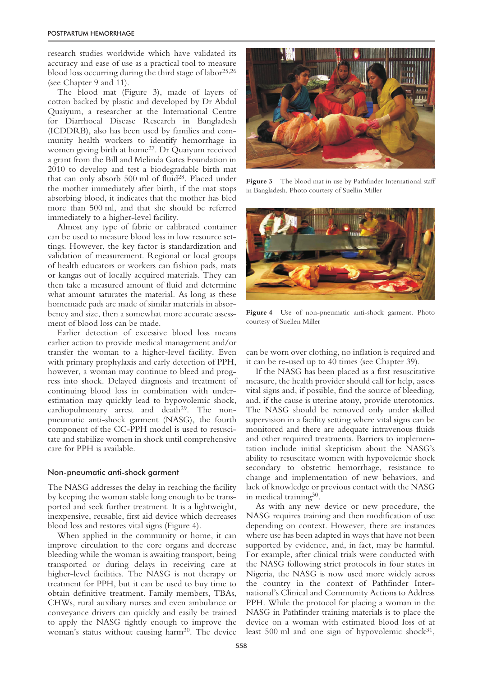research studies worldwide which have validated its accuracy and ease of use as a practical tool to measure blood loss occurring during the third stage of labor25,26 (see Chapter 9 and 11).

The blood mat (Figure 3), made of layers of cotton backed by plastic and developed by Dr Abdul Quaiyum, a researcher at the International Centre for Diarrhoeal Disease Research in Bangladesh (ICDDRB), also has been used by families and community health workers to identify hemorrhage in women giving birth at home27. Dr Quaiyum received a grant from the Bill and Melinda Gates Foundation in 2010 to develop and test a biodegradable birth mat that can only absorb 500 ml of fluid28. Placed under the mother immediately after birth, if the mat stops absorbing blood, it indicates that the mother has bled more than 500 ml, and that she should be referred immediately to a higher-level facility.

Almost any type of fabric or calibrated container can be used to measure blood loss in low resource settings. However, the key factor is standardization and validation of measurement. Regional or local groups of health educators or workers can fashion pads, mats or kangas out of locally acquired materials. They can then take a measured amount of fluid and determine what amount saturates the material. As long as these homemade pads are made of similar materials in absorbency and size, then a somewhat more accurate assessment of blood loss can be made.

Earlier detection of excessive blood loss means earlier action to provide medical management and/or transfer the woman to a higher-level facility. Even with primary prophylaxis and early detection of PPH, however, a woman may continue to bleed and progress into shock. Delayed diagnosis and treatment of continuing blood loss in combination with underestimation may quickly lead to hypovolemic shock, cardiopulmonary arrest and death<sup>29</sup>. The nonpneumatic anti-shock garment (NASG), the fourth component of the CC-PPH model is used to resuscitate and stabilize women in shock until comprehensive care for PPH is available.

#### Non-pneumatic anti-shock garment

The NASG addresses the delay in reaching the facility by keeping the woman stable long enough to be transported and seek further treatment. It is a lightweight, inexpensive, reusable, first aid device which decreases blood loss and restores vital signs (Figure 4).

When applied in the community or home, it can improve circulation to the core organs and decrease bleeding while the woman is awaiting transport, being transported or during delays in receiving care at higher-level facilities. The NASG is not therapy or treatment for PPH, but it can be used to buy time to obtain definitive treatment. Family members, TBAs, CHWs, rural auxiliary nurses and even ambulance or conveyance drivers can quickly and easily be trained to apply the NASG tightly enough to improve the woman's status without causing harm<sup>30</sup>. The device



Figure 3 The blood mat in use by Pathfinder International staff in Bangladesh. Photo courtesy of Suellin Miller



**Figure 4** Use of non-pneumatic anti-shock garment. Photo courtesy of Suellen Miller

can be worn over clothing, no inflation is required and it can be re-used up to 40 times (see Chapter 39).

If the NASG has been placed as a first resuscitative measure, the health provider should call for help, assess vital signs and, if possible, find the source of bleeding, and, if the cause is uterine atony, provide uterotonics. The NASG should be removed only under skilled supervision in a facility setting where vital signs can be monitored and there are adequate intravenous fluids and other required treatments. Barriers to implementation include initial skepticism about the NASG's ability to resuscitate women with hypovolemic shock secondary to obstetric hemorrhage, resistance to change and implementation of new behaviors, and lack of knowledge or previous contact with the NASG in medical training $30$ .

As with any new device or new procedure, the NASG requires training and then modification of use depending on context. However, there are instances where use has been adapted in ways that have not been supported by evidence, and, in fact, may be harmful. For example, after clinical trials were conducted with the NASG following strict protocols in four states in Nigeria, the NASG is now used more widely across the country in the context of Pathfinder International's Clinical and Community Actions to Address PPH. While the protocol for placing a woman in the NASG in Pathfinder training materials is to place the device on a woman with estimated blood loss of at least 500 ml and one sign of hypovolemic shock $31$ ,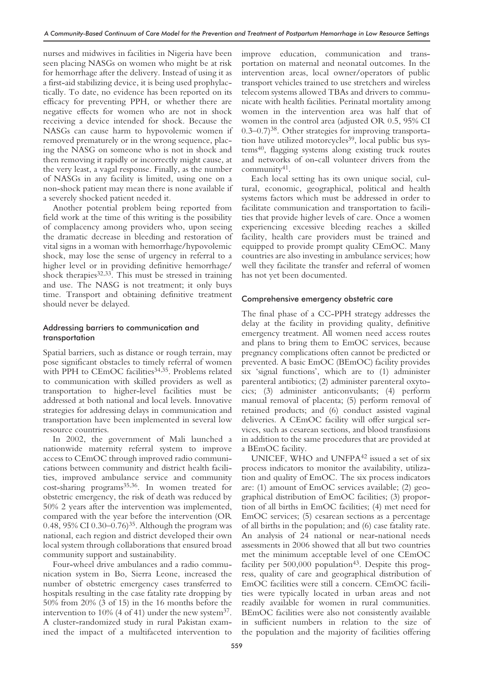nurses and midwives in facilities in Nigeria have been seen placing NASGs on women who might be at risk for hemorrhage after the delivery. Instead of using it as a first-aid stabilizing device, it is being used prophylactically. To date, no evidence has been reported on its efficacy for preventing PPH, or whether there are negative effects for women who are not in shock receiving a device intended for shock. Because the NASGs can cause harm to hypovolemic women if removed prematurely or in the wrong sequence, placing the NASG on someone who is not in shock and then removing it rapidly or incorrectly might cause, at the very least, a vagal response. Finally, as the number of NASGs in any facility is limited, using one on a non-shock patient may mean there is none available if a severely shocked patient needed it.

Another potential problem being reported from field work at the time of this writing is the possibility of complacency among providers who, upon seeing the dramatic decrease in bleeding and restoration of vital signs in a woman with hemorrhage/hypovolemic shock, may lose the sense of urgency in referral to a higher level or in providing definitive hemorrhage/ shock therapies<sup>32,33</sup>. This must be stressed in training and use. The NASG is not treatment; it only buys time. Transport and obtaining definitive treatment should never be delayed.

## Addressing barriers to communication and transportation

Spatial barriers, such as distance or rough terrain, may pose significant obstacles to timely referral of women with PPH to CEmOC facilities<sup>34,35</sup>. Problems related to communication with skilled providers as well as transportation to higher-level facilities must be addressed at both national and local levels. Innovative strategies for addressing delays in communication and transportation have been implemented in several low resource countries.

In 2002, the government of Mali launched a nationwide maternity referral system to improve access to CEmOC through improved radio communications between community and district health facilities, improved ambulance service and community cost-sharing programs35,36. In women treated for obstetric emergency, the risk of death was reduced by 50% 2 years after the intervention was implemented, compared with the year before the intervention (OR 0.48, 95% CI 0.30–0.76)35. Although the program was national, each region and district developed their own local system through collaborations that ensured broad community support and sustainability.

Four-wheel drive ambulances and a radio communication system in Bo, Sierra Leone, increased the number of obstetric emergency cases transferred to hospitals resulting in the case fatality rate dropping by 50% from 20% (3 of 15) in the 16 months before the intervention to  $10\%$  (4 of 41) under the new system<sup>37</sup>. A cluster-randomized study in rural Pakistan examined the impact of a multifaceted intervention to improve education, communication and transportation on maternal and neonatal outcomes. In the intervention areas, local owner/operators of public transport vehicles trained to use stretchers and wireless telecom systems allowed TBAs and drivers to communicate with health facilities. Perinatal mortality among women in the intervention area was half that of women in the control area (adjusted OR 0.5, 95% CI 0.3–0.7)38. Other strategies for improving transportation have utilized motorcycles<sup>39</sup>, local public bus systems40, flagging systems along existing truck routes and networks of on-call volunteer drivers from the community41.

Each local setting has its own unique social, cultural, economic, geographical, political and health systems factors which must be addressed in order to facilitate communication and transportation to facilities that provide higher levels of care. Once a women experiencing excessive bleeding reaches a skilled facility, health care providers must be trained and equipped to provide prompt quality CEmOC. Many countries are also investing in ambulance services; how well they facilitate the transfer and referral of women has not yet been documented.

#### Comprehensive emergency obstetric care

The final phase of a CC-PPH strategy addresses the delay at the facility in providing quality, definitive emergency treatment. All women need access routes and plans to bring them to EmOC services, because pregnancy complications often cannot be predicted or prevented. A basic EmOC (BEmOC) facility provides six 'signal functions', which are to (1) administer parenteral antibiotics; (2) administer parenteral oxytocics; (3) administer anticonvulsants; (4) perform manual removal of placenta; (5) perform removal of retained products; and (6) conduct assisted vaginal deliveries. A CEmOC facility will offer surgical services, such as cesarean sections, and blood transfusions in addition to the same procedures that are provided at a BEmOC facility.

UNICEF, WHO and UNFPA<sup>42</sup> issued a set of six process indicators to monitor the availability, utilization and quality of EmOC. The six process indicators are: (1) amount of EmOC services available; (2) geographical distribution of EmOC facilities; (3) proportion of all births in EmOC facilities; (4) met need for EmOC services; (5) cesarean sections as a percentage of all births in the population; and (6) case fatality rate. An analysis of 24 national or near-national needs assessments in 2006 showed that all but two countries met the minimum acceptable level of one CEmOC facility per  $500,000$  population<sup>43</sup>. Despite this progress, quality of care and geographical distribution of EmOC facilities were still a concern. CEmOC facilities were typically located in urban areas and not readily available for women in rural communities. BEmOC facilities were also not consistently available in sufficient numbers in relation to the size of the population and the majority of facilities offering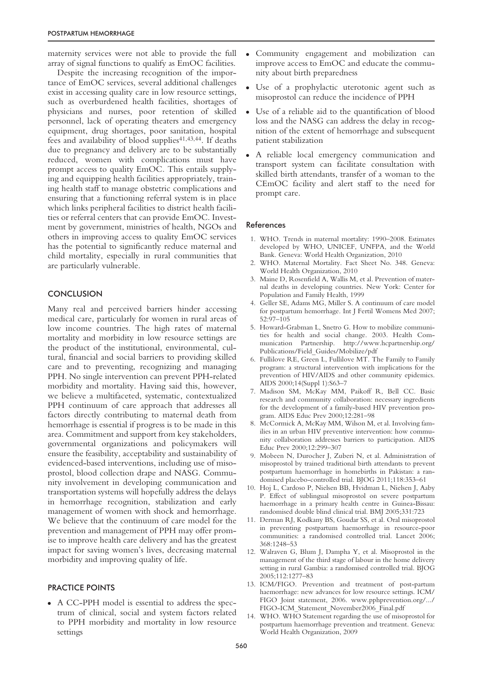maternity services were not able to provide the full array of signal functions to qualify as EmOC facilities.

Despite the increasing recognition of the importance of EmOC services, several additional challenges exist in accessing quality care in low resource settings, such as overburdened health facilities, shortages of physicians and nurses, poor retention of skilled personnel, lack of operating theaters and emergency equipment, drug shortages, poor sanitation, hospital fees and availability of blood supplies $41,43,44$ . If deaths due to pregnancy and delivery are to be substantially reduced, women with complications must have prompt access to quality EmOC. This entails supplying and equipping health facilities appropriately, training health staff to manage obstetric complications and ensuring that a functioning referral system is in place which links peripheral facilities to district health facilities or referral centers that can provide EmOC. Investment by government, ministries of health, NGOs and others in improving access to quality EmOC services has the potential to significantly reduce maternal and child mortality, especially in rural communities that are particularly vulnerable.

## **CONCLUSION**

Many real and perceived barriers hinder accessing medical care, particularly for women in rural areas of low income countries. The high rates of maternal mortality and morbidity in low resource settings are the product of the institutional, environmental, cultural, financial and social barriers to providing skilled care and to preventing, recognizing and managing PPH. No single intervention can prevent PPH-related morbidity and mortality. Having said this, however, we believe a multifaceted, systematic, contextualized PPH continuum of care approach that addresses all factors directly contributing to maternal death from hemorrhage is essential if progress is to be made in this area. Commitment and support from key stakeholders, governmental organizations and policymakers will ensure the feasibility, acceptability and sustainability of evidenced-based interventions, including use of misoprostol, blood collection drape and NASG. Community involvement in developing communication and transportation systems will hopefully address the delays in hemorrhage recognition, stabilization and early management of women with shock and hemorrhage. We believe that the continuum of care model for the prevention and management of PPH may offer promise to improve health care delivery and has the greatest impact for saving women's lives, decreasing maternal morbidity and improving quality of life.

## PRACTICE POINTS

• A CC-PPH model is essential to address the spectrum of clinical, social and system factors related to PPH morbidity and mortality in low resource settings

- Community engagement and mobilization can improve access to EmOC and educate the community about birth preparedness
- Use of a prophylactic uterotonic agent such as misoprostol can reduce the incidence of PPH
- Use of a reliable aid to the quantification of blood loss and the NASG can address the delay in recognition of the extent of hemorrhage and subsequent patient stabilization
- A reliable local emergency communication and transport system can facilitate consultation with skilled birth attendants, transfer of a woman to the CEmOC facility and alert staff to the need for prompt care.

## References

- 1. WHO. Trends in maternal mortality: 1990–2008. Estimates developed by WHO, UNICEF, UNFPA, and the World Bank. Geneva: World Health Organization, 2010
- 2. WHO. Maternal Mortality. Fact Sheet No. 348. Geneva: World Health Organization, 2010
- 3. Maine D, Rosenfield A, Wallis M, et al. Prevention of maternal deaths in developing countries. New York: Center for Population and Family Health, 1999
- 4. Geller SE, Adams MG, Miller S. A continuum of care model for postpartum hemorrhage. Int J Fertil Womens Med 2007; 52:97–105
- 5. Howard-Grabman L, Snetro G. How to mobilize communities for health and social change. 2003. Health Communication Partnership. http://www.hcpartnership.org/ Publications/Field\_Guides/Mobilize/pdf
- 6. Fullilove RE, Green L, Fullilove MT. The Family to Family program: a structural intervention with implications for the prevention of HIV/AIDS and other community epidemics. AIDS 2000;14(Suppl 1):S63–7
- 7. Madison SM, McKay MM, Paikoff R, Bell CC. Basic research and community collaboration: necessary ingredients for the development of a family-based HIV prevention program. AIDS Educ Prev 2000;12:281–98
- 8. McCormick A, McKay MM, Wilson M, et al. Involving families in an urban HIV preventive intervention: how community collaboration addresses barriers to participation. AIDS Educ Prev 2000;12:299–307
- 9. Mobeen N, Durocher J, Zuberi N, et al. Administration of misoprostol by trained traditional birth attendants to prevent postpartum haemorrhage in homebirths in Pakistan: a randomised placebo-controlled trial. BJOG 2011;118:353–61
- 10. Hoj L, Cardoso P, Nielsen BB, Hvidman L, Nielsen J, Aaby P. Effect of sublingual misoprostol on severe postpartum haemorrhage in a primary health centre in Guinea-Bissau: randomised double blind clinical trial. BMJ 2005;331:723
- 11. Derman RJ, Kodkany BS, Goudar SS, et al. Oral misoprostol in preventing postpartum haemorrhage in resource-poor communities: a randomised controlled trial. Lancet 2006; 368:1248–53
- 12. Walraven G, Blum J, Dampha Y, et al. Misoprostol in the management of the third stage of labour in the home delivery setting in rural Gambia: a randomised controlled trial. BJOG 2005;112:1277–83
- 13. ICM/FIGO. Prevention and treatment of post-partum haemorrhage: new advances for low resource settings. ICM/ FIGO Joint statement, 2006. www.pphprevention.org/.../ FIGO-ICM\_Statement\_November2006\_Final.pdf
- 14. WHO. WHO Statement regarding the use of misoprostol for postpartum haemorrhage prevention and treatment. Geneva: World Health Organization, 2009